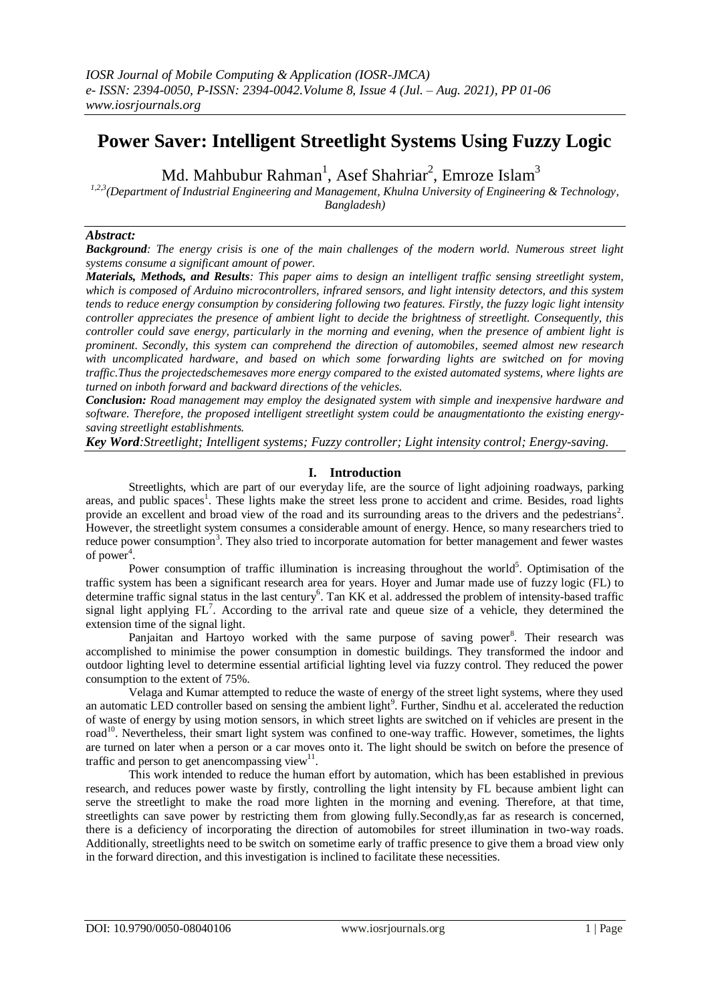# **Power Saver: Intelligent Streetlight Systems Using Fuzzy Logic**

Md. Mahbubur Rahman<sup>1</sup>, Asef Shahriar<sup>2</sup>, Emroze Islam<sup>3</sup>

*1,2,3(Department of Industrial Engineering and Management, Khulna University of Engineering & Technology, Bangladesh)*

#### *Abstract:*

*Background: The energy crisis is one of the main challenges of the modern world. Numerous street light systems consume a significant amount of power.*

*Materials, Methods, and Results: This paper aims to design an intelligent traffic sensing streetlight system, which is composed of Arduino microcontrollers, infrared sensors, and light intensity detectors, and this system tends to reduce energy consumption by considering following two features. Firstly, the fuzzy logic light intensity controller appreciates the presence of ambient light to decide the brightness of streetlight. Consequently, this controller could save energy, particularly in the morning and evening, when the presence of ambient light is prominent. Secondly, this system can comprehend the direction of automobiles, seemed almost new research with uncomplicated hardware, and based on which some forwarding lights are switched on for moving traffic.Thus the projectedschemesaves more energy compared to the existed automated systems, where lights are turned on inboth forward and backward directions of the vehicles.*

*Conclusion: Road management may employ the designated system with simple and inexpensive hardware and software. Therefore, the proposed intelligent streetlight system could be anaugmentationto the existing energysaving streetlight establishments.*

*Key Word:Streetlight; Intelligent systems; Fuzzy controller; Light intensity control; Energy-saving.*

#### **I. Introduction**

Streetlights, which are part of our everyday life, are the source of light adjoining roadways, parking areas, and public spaces<sup>1</sup>. These lights make the street less prone to accident and crime. Besides, road lights provide an excellent and broad view of the road and its surrounding areas to the drivers and the pedestrians<sup>2</sup>. However, the streetlight system consumes a considerable amount of energy. Hence, so many researchers tried to reduce power consumption<sup>3</sup>. They also tried to incorporate automation for better management and fewer wastes of power<sup>4</sup>.

Power consumption of traffic illumination is increasing throughout the world<sup>5</sup>. Optimisation of the traffic system has been a significant research area for years. Hoyer and Jumar made use of fuzzy logic (FL) to determine traffic signal status in the last century<sup>6</sup>. Tan KK et al. addressed the problem of intensity-based traffic signal light applying  $FL<sup>7</sup>$ . According to the arrival rate and queue size of a vehicle, they determined the extension time of the signal light.

Panjaitan and Hartoyo worked with the same purpose of saving power<sup>8</sup>. Their research was accomplished to minimise the power consumption in domestic buildings. They transformed the indoor and outdoor lighting level to determine essential artificial lighting level via fuzzy control. They reduced the power consumption to the extent of 75%.

Velaga and Kumar attempted to reduce the waste of energy of the street light systems, where they used an automatic LED controller based on sensing the ambient light<sup>9</sup>. Further, Sindhu et al. accelerated the reduction of waste of energy by using motion sensors, in which street lights are switched on if vehicles are present in the road<sup>10</sup>. Nevertheless, their smart light system was confined to one-way traffic. However, sometimes, the lights are turned on later when a person or a car moves onto it. The light should be switch on before the presence of traffic and person to get anencompassing view $11$ .

This work intended to reduce the human effort by automation, which has been established in previous research, and reduces power waste by firstly, controlling the light intensity by FL because ambient light can serve the streetlight to make the road more lighten in the morning and evening. Therefore, at that time, streetlights can save power by restricting them from glowing fully.Secondly,as far as research is concerned, there is a deficiency of incorporating the direction of automobiles for street illumination in two-way roads. Additionally, streetlights need to be switch on sometime early of traffic presence to give them a broad view only in the forward direction, and this investigation is inclined to facilitate these necessities.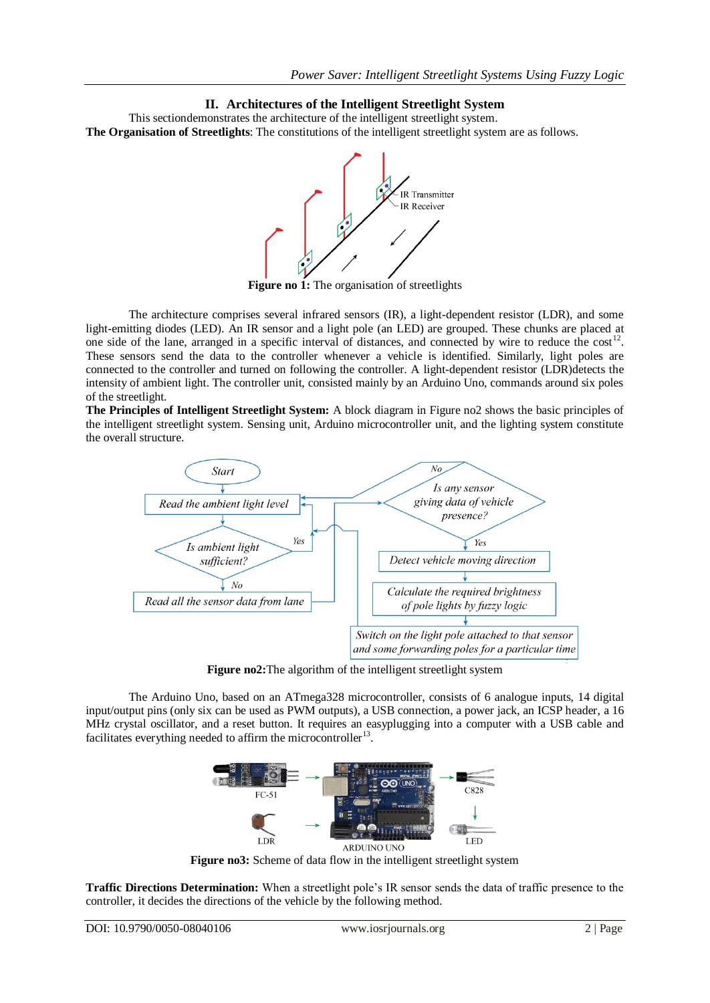## **II. Architectures of the Intelligent Streetlight System**

This sectiondemonstrates the architecture of the intelligent streetlight system. **The Organisation of Streetlights**: The constitutions of the intelligent streetlight system are as follows.



**Figure no 1:** The organisation of streetlights

The architecture comprises several infrared sensors (IR), a light-dependent resistor (LDR), and some light-emitting diodes (LED). An IR sensor and a light pole (an LED) are grouped. These chunks are placed at one side of the lane, arranged in a specific interval of distances, and connected by wire to reduce the  $cost<sup>12</sup>$ . These sensors send the data to the controller whenever a vehicle is identified. Similarly, light poles are connected to the controller and turned on following the controller. A light-dependent resistor (LDR)detects the intensity of ambient light. The controller unit, consisted mainly by an Arduino Uno, commands around six poles of the streetlight.

**The Principles of Intelligent Streetlight System:** A block diagram in Figure no2 shows the basic principles of the intelligent streetlight system. Sensing unit, Arduino microcontroller unit, and the lighting system constitute the overall structure.



**Figure no2:**The algorithm of the intelligent streetlight system

The Arduino Uno, based on an ATmega328 microcontroller, consists of 6 analogue inputs, 14 digital input/output pins (only six can be used as PWM outputs), a USB connection, a power jack, an ICSP header, a 16 MHz crystal oscillator, and a reset button. It requires an easyplugging into a computer with a USB cable and facilitates everything needed to affirm the microcontroller<sup>13</sup>.



Figure no3: Scheme of data flow in the intelligent streetlight system

**Traffic Directions Determination:** When a streetlight pole's IR sensor sends the data of traffic presence to the controller, it decides the directions of the vehicle by the following method.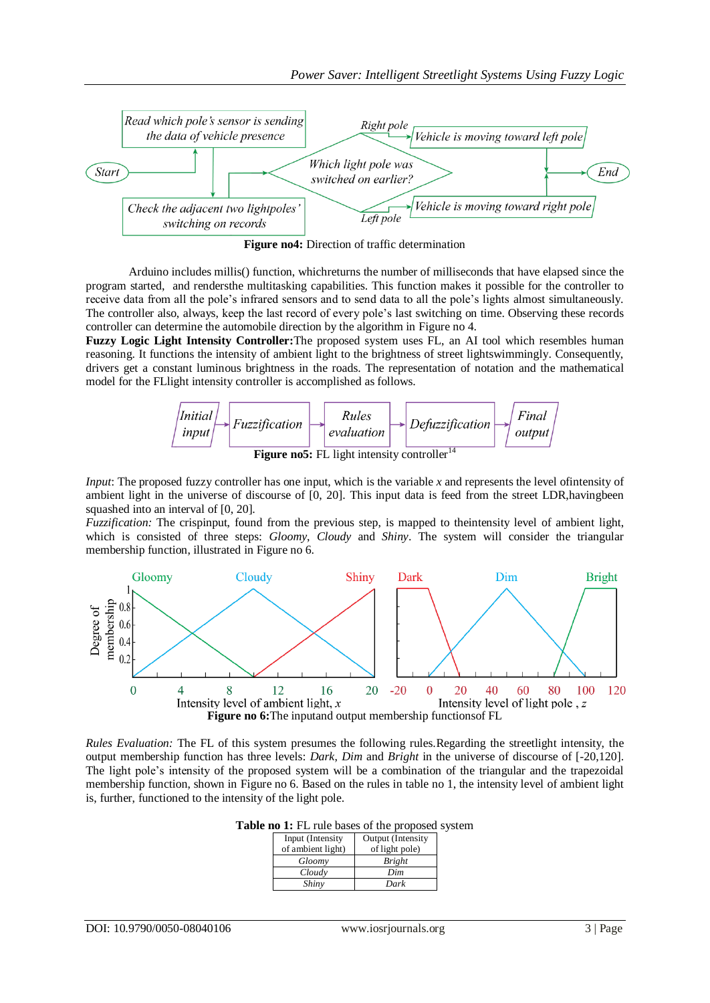

**Figure no4:** Direction of traffic determination

Arduino includes millis() function, whichreturns the number of milliseconds that have elapsed since the program started, and rendersthe multitasking capabilities. This function makes it possible for the controller to receive data from all the pole's infrared sensors and to send data to all the pole's lights almost simultaneously. The controller also, always, keep the last record of every pole's last switching on time. Observing these records controller can determine the automobile direction by the algorithm in Figure no 4.

**Fuzzy Logic Light Intensity Controller:**The proposed system uses FL, an AI tool which resembles human reasoning. It functions the intensity of ambient light to the brightness of street lightswimmingly. Consequently, drivers get a constant luminous brightness in the roads. The representation of notation and the mathematical model for the FLlight intensity controller is accomplished as follows.



*Input*: The proposed fuzzy controller has one input, which is the variable x and represents the level of intensity of ambient light in the universe of discourse of [0, 20]. This input data is feed from the street LDR,havingbeen squashed into an interval of [0, 20].

*Fuzzification:* The crispinput, found from the previous step, is mapped to theintensity level of ambient light, which is consisted of three steps: *Gloomy*, *Cloudy* and *Shiny*. The system will consider the triangular membership function, illustrated in Figure no 6.



*Rules Evaluation:* The FL of this system presumes the following rules.Regarding the streetlight intensity, the output membership function has three levels: *Dark*, *Dim* and *Bright* in the universe of discourse of [-20,120]. The light pole's intensity of the proposed system will be a combination of the triangular and the trapezoidal membership function, shown in Figure no 6. Based on the rules in table no 1, the intensity level of ambient light is, further, functioned to the intensity of the light pole.

**Table no 1:** FL rule bases of the proposed system

| Input (Intensity  | Output (Intensity |
|-------------------|-------------------|
| of ambient light) | of light pole)    |
| Gloomy            | <b>Bright</b>     |
| Cloudy            | Dim               |
| Shiny             | Dark              |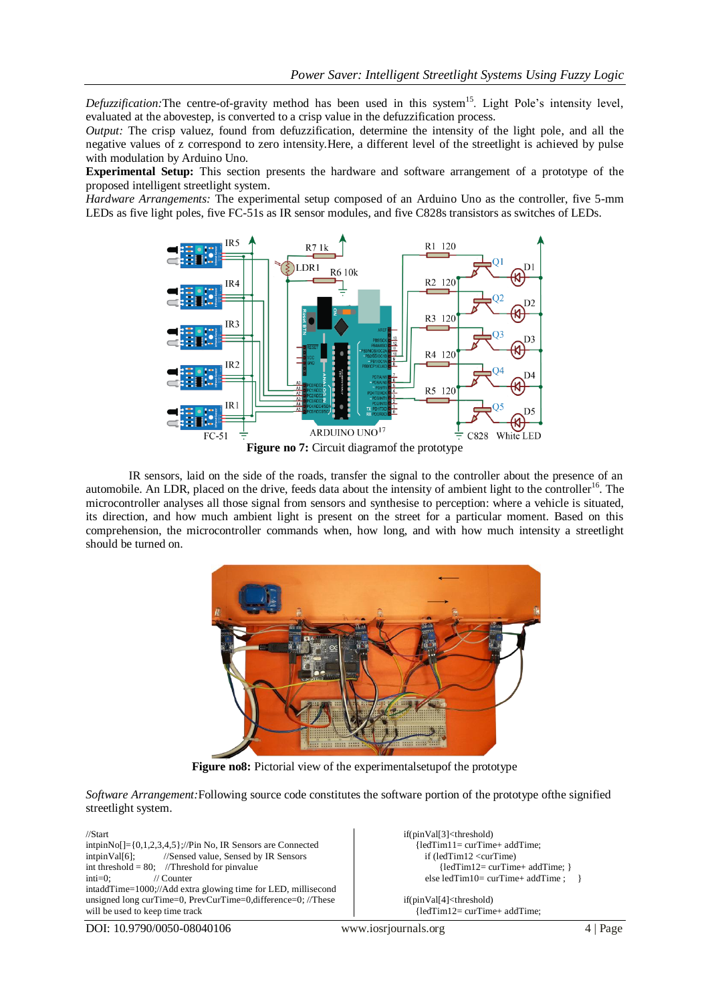Defuzzification: The centre-of-gravity method has been used in this system<sup>15</sup>. Light Pole's intensity level, evaluated at the abovestep, is converted to a crisp value in the defuzzification process.

*Output:* The crisp value*z*, found from defuzzification, determine the intensity of the light pole, and all the negative values of z correspond to zero intensity.Here, a different level of the streetlight is achieved by pulse with modulation by Arduino Uno.

**Experimental Setup:** This section presents the hardware and software arrangement of a prototype of the proposed intelligent streetlight system.

*Hardware Arrangements:* The experimental setup composed of an Arduino Uno as the controller, five 5-mm LEDs as five light poles, five FC-51s as IR sensor modules, and five C828s transistors as switches of LEDs.



IR sensors, laid on the side of the roads, transfer the signal to the controller about the presence of an automobile. An LDR, placed on the drive, feeds data about the intensity of ambient light to the controller<sup>16</sup>. The microcontroller analyses all those signal from sensors and synthesise to perception: where a vehicle is situated, its direction, and how much ambient light is present on the street for a particular moment. Based on this comprehension, the microcontroller commands when, how long, and with how much intensity a streetlight should be turned on.



Figure no8: Pictorial view of the experimentalsetupof the prototype

*Software Arrangement:*Following source code constitutes the software portion of the prototype ofthe signified streetlight system.

//Start intpin $N_0$ []={0,1,2,3,4,5};//Pin No, IR Sensors are Connected intpinVal[6]; //Sensed value, Sensed by IR Sensors //Sensed value, Sensed by IR Sensors int threshold = 80; //Threshold for pinvalue inti=0; // Counter intaddTime=1000;//Add extra glowing time for LED, millisecond unsigned long curTime=0, PrevCurTime=0,difference=0; //These will be used to keep time track

if(pinVal[3]<threshold) {ledTim11= curTime+ addTime; if (ledTim12 <curTime) {ledTim12= curTime+ addTime; } else ledTim10= curTime+ addTime ; }

if(pinVal[4]<threshold) {ledTim12= curTime+ addTime;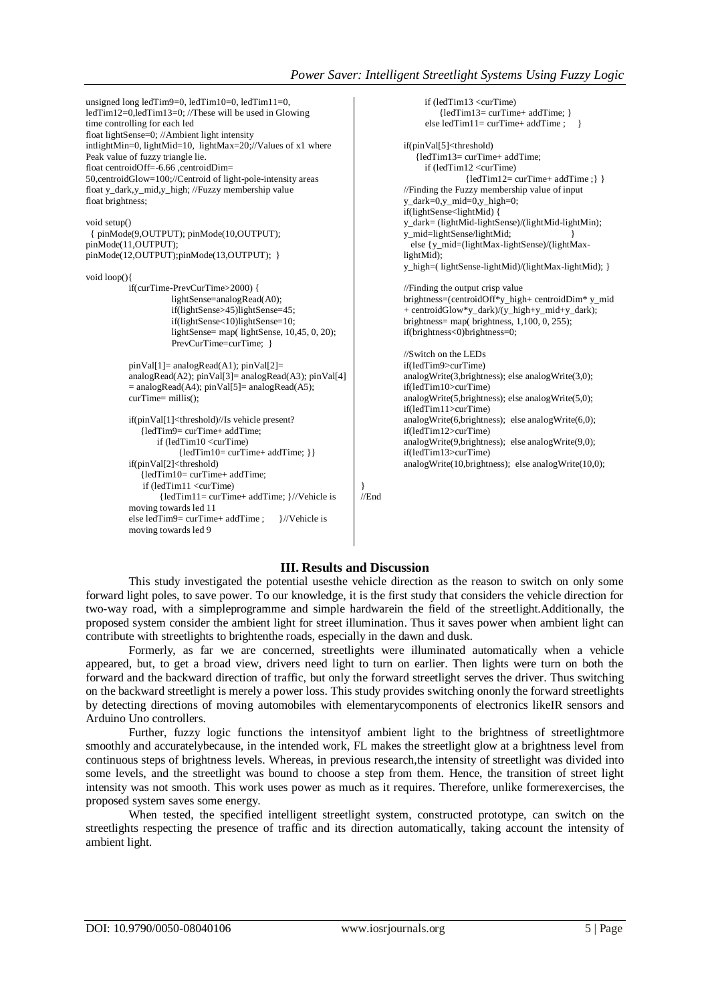```
unsigned long ledTim9=0, ledTim10=0, ledTim11=0, 
ledTim12=0,ledTim13=0; //These will be used in Glowing 
time controlling for each led
float lightSense=0; //Ambient light intensity
intlightMin=0, lightMid=10, lightMax=20;//Values of x1 where 
Peak value of fuzzy triangle lie. 
float centroidOff=-6.66 ,centroidDim=
50,centroidGlow=100;//Centroid of light-pole-intensity areas
float y_dark,y_mid,y_high; //Fuzzy membership value
float brightness;
void setup()
  { pinMode(9,OUTPUT); pinMode(10,OUTPUT); 
pinMode(11,OUTPUT);
pinMode(12,OUTPUT);pinMode(13,OUTPUT); }
void loop(){ 
          if(curTime-PrevCurTime>2000) { 
                     lightSense=analogRead(A0); 
                     if(lightSense>45)lightSense=45;
                     if(lightSense<10)lightSense=10;
                     lightSense= map( lightSense, 10,45, 0, 20); 
                     PrevCurTime=curTime; }
          pinVal[1]= analogRead(A1); pinVal[2]= 
          analogRead(A2); pinVal[3]= analogRead(A3); pinVal[4] 
          = analogRead(A4); pinVal[5]= analogRead(A5);
          curTime= millis(); 
          if(pinVal[1]<threshold)//Is vehicle present? 
               {ledTim9= curTime+ addTime;
                   if (ledTim10 <curTime)
                        {ledTim10= curTime+ addTime; }}
          if(pinVal[2]<threshold) 
               {ledTim10= curTime+ addTime;
               if (ledTim11 <curTime)
                   {ledTim11= curTime+ addTime; }//Vehicle is 
          moving towards led 11
          else ledTim9= curTime+ addTime ; \frac{\frac{1}{\sqrt{}}}{\frac{1}{\sqrt{}}\sqrt{2}} if (ledTim13 <curTime)
                                                                                           {ledTim13= curTime+ addTime; }
                                                                                       else ledTim11= curTime+ addTime ; }
                                                                                 if(pinVal[5]<threshold) 
                                                                                     {ledTim13= curTime+ addTime;
                                                                                       if (ledTim12 <curTime)
                                                                                                  {ledTim12= curTime+ addTime ;} }
                                                                                 //Finding the Fuzzy membership value of input
                                                                                 y_{\text{dark}=0,y_{\text{mid}=0,y_{\text{high}=0}};
                                                                                 if(lightSense<lightMid) {
                                                                                 y_dark= (lightMid-lightSense)/(lightMid-lightMin);
                                                                                 y_mid=lightSense/lightMid; }
                                                                                   else {y_mid=(lightMax-lightSense)/(lightMax-
                                                                                 lightMid); 
                                                                                 y_high=( lightSense-lightMid)/(lightMax-lightMid); }
                                                                                 //Finding the output crisp value 
                                                                                 brightness=(centroidOff*y_high+ centroidDim* y_mid 
                                                                                 + centroidGlow*y_dark)/(y_high+y_mid+y_dark); 
                                                                                 brightness= map(\text{brightness}, 1,100, 0, 255);
                                                                                 if(brightness<0)brightness=0;
                                                                                 //Switch on the LEDs 
                                                                                 if(ledTim9>curTime)
                                                                                 analogWrite(3,brightness); else analogWrite(3,0); 
                                                                                 if(ledTim10>curTime)
                                                                                 analogWrite(5,brightness); else analogWrite(5,0); 
                                                                                 if(ledTim11>curTime)
                                                                                 analogWrite(6,brightness); else analogWrite(6,0);
                                                                                 if(ledTim12>curTime)
                                                                                 analogWrite(9,brightness); else analogWrite(9,0);
                                                                                 if(ledTim13>curTime)
                                                                                 analogWrite(10,brightness); else analogWrite(10,0);
                                                                      }
                                                                      //End
```
## **III. Results and Discussion**

This study investigated the potential usesthe vehicle direction as the reason to switch on only some forward light poles, to save power. To our knowledge, it is the first study that considers the vehicle direction for two-way road, with a simpleprogramme and simple hardwarein the field of the streetlight.Additionally, the proposed system consider the ambient light for street illumination. Thus it saves power when ambient light can contribute with streetlights to brightenthe roads, especially in the dawn and dusk.

Formerly, as far we are concerned, streetlights were illuminated automatically when a vehicle appeared, but, to get a broad view, drivers need light to turn on earlier. Then lights were turn on both the forward and the backward direction of traffic, but only the forward streetlight serves the driver. Thus switching on the backward streetlight is merely a power loss. This study provides switching ononly the forward streetlights by detecting directions of moving automobiles with elementarycomponents of electronics likeIR sensors and Arduino Uno controllers.

Further, fuzzy logic functions the intensityof ambient light to the brightness of streetlightmore smoothly and accuratelybecause, in the intended work, FL makes the streetlight glow at a brightness level from continuous steps of brightness levels. Whereas, in previous research,the intensity of streetlight was divided into some levels, and the streetlight was bound to choose a step from them. Hence, the transition of street light intensity was not smooth. This work uses power as much as it requires. Therefore, unlike formerexercises, the proposed system saves some energy.

When tested, the specified intelligent streetlight system, constructed prototype, can switch on the streetlights respecting the presence of traffic and its direction automatically, taking account the intensity of ambient light.

moving towards led 9